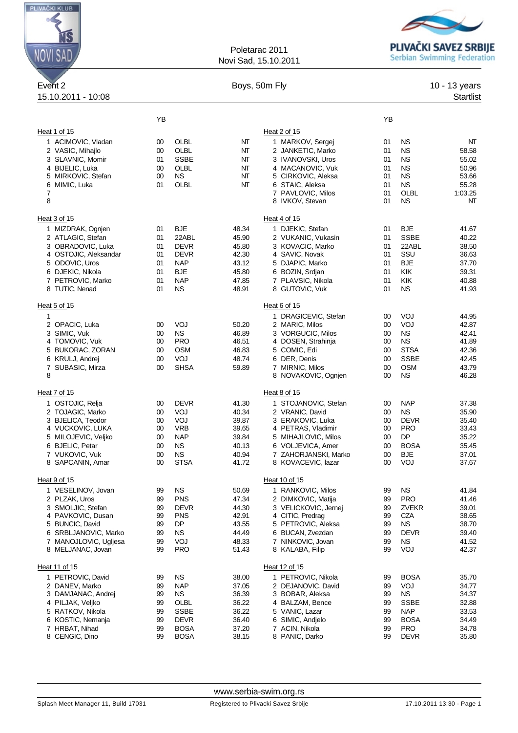

## Poletarac 2011 Novi Sad, 15.10.2011



| Event 2                                    |          |                          | Boys, 50m Fly  |                                            |          |                            | 10 - 13 years    |
|--------------------------------------------|----------|--------------------------|----------------|--------------------------------------------|----------|----------------------------|------------------|
| 15.10.2011 - 10:08                         |          |                          |                |                                            |          |                            | <b>Startlist</b> |
|                                            | YB       |                          |                |                                            | YB       |                            |                  |
| Heat 1 of 15                               |          |                          |                | Heat 2 of 15                               |          |                            |                  |
| 1 ACIMOVIC, Vladan                         | 00       | OLBL                     | NT             | 1 MARKOV, Sergej                           | 01       | <b>NS</b>                  | NT               |
| 2 VASIC, Mihajlo                           | 00       | OLBL                     | NT             | 2 JANKETIC, Marko                          | 01       | <b>NS</b>                  | 58.58            |
| 3 SLAVNIC, Momir                           | 01       | <b>SSBE</b>              | NT             | 3 IVANOVSKI, Uros                          | 01       | <b>NS</b>                  | 55.02            |
| 4 BIJELIC, Luka                            | 00       | OLBL                     | NT             | 4 MACANOVIC, Vuk                           | 01       | <b>NS</b>                  | 50.96            |
| 5 MIRKOVIC, Stefan                         | 00       | <b>NS</b>                | NT             | 5 CIRKOVIC, Aleksa                         | 01       | <b>NS</b>                  | 53.66            |
| 6 MIMIC, Luka                              | 01       | OLBL                     | NT             | 6 STAIC, Aleksa                            | 01       | <b>NS</b>                  | 55.28            |
| 7<br>8                                     |          |                          |                | 7 PAVLOVIC, Milos<br>8 IVKOV, Stevan       | 01<br>01 | OLBL<br><b>NS</b>          | 1:03.25<br>NT    |
| Heat 3 of 15                               |          |                          |                | Heat 4 of 15                               |          |                            |                  |
| 1 MIZDRAK, Ognjen                          | 01       | <b>BJE</b>               | 48.34          | 1 DJEKIC, Stefan                           | 01       | <b>BJE</b>                 | 41.67            |
| 2 ATLAGIC, Stefan                          | 01       | 22ABL                    | 45.90          | 2 VUKANIC, Vukasin                         | 01       | <b>SSBE</b>                | 40.22            |
| 3 OBRADOVIC, Luka                          | 01       | <b>DEVR</b>              | 45.80          | 3 KOVACIC, Marko                           | 01       | 22ABL                      | 38.50            |
| 4 OSTOJIC, Aleksandar                      | 01       | <b>DEVR</b>              | 42.30          | 4 SAVIC, Novak                             | 01       | SSU                        | 36.63            |
| 5 ODOVIC, Uros                             | 01       | <b>NAP</b>               | 43.12          | 5 DJAPIC, Marko                            | 01       | <b>BJE</b>                 | 37.70            |
| 6 DJEKIC, Nikola                           | 01       | BJE                      | 45.80          | 6 BOZIN, Srdjan                            | 01       | KIK                        | 39.31            |
| 7 PETROVIC, Marko                          | 01       | <b>NAP</b>               | 47.85          | 7 PLAVSIC, Nikola                          | 01       | KIK                        | 40.88            |
| 8 TUTIC, Nenad                             | 01       | <b>NS</b>                | 48.91          | 8 GUTOVIC, Vuk                             | 01       | <b>NS</b>                  | 41.93            |
| Heat 5 of 15                               |          |                          |                | Heat 6 of 15                               |          |                            |                  |
| 1                                          |          |                          |                | 1 DRAGICEVIC, Stefan                       | 00       | VOJ                        | 44.95            |
| 2 OPACIC, Luka                             | 00       | VOJ                      | 50.20          | 2 MARIC, Milos                             | 00       | VOJ                        | 42.87            |
| 3 SIMIC, Vuk                               | 00       | <b>NS</b>                | 46.89          | 3 VORGUCIC, Milos                          | 00       | <b>NS</b>                  | 42.41            |
| 4 TOMOVIC, Vuk                             | 00       | <b>PRO</b>               | 46.51          | 4 DOSEN, Strahinja                         | 00       | <b>NS</b>                  | 41.89            |
| 5 BUKORAC, ZORAN<br>6 KRULJ, Andrej        | 00       | <b>OSM</b><br>VOJ        | 46.83<br>48.74 | 5 COMIC, Edi<br>6 DER, Denis               | 00<br>00 | <b>STSA</b><br><b>SSBE</b> | 42.36<br>42.45   |
| 7 SUBASIC, Mirza                           | 00<br>00 | <b>SHSA</b>              | 59.89          | 7 MIRNIC, Milos                            | 00       | <b>OSM</b>                 | 43.79            |
| 8                                          |          |                          |                | 8 NOVAKOVIC, Ognjen                        | 00       | <b>NS</b>                  | 46.28            |
| Heat 7 of 15                               |          |                          |                | Heat 8 of 15                               |          |                            |                  |
| 1 OSTOJIC, Relja                           | 00       | <b>DEVR</b>              | 41.30          | 1 STOJANOVIC, Stefan                       | 00       | <b>NAP</b>                 | 37.38            |
| 2 TOJAGIC, Marko                           | 00       | VOJ                      | 40.34          | 2 VRANIC, David                            | 00       | <b>NS</b>                  | 35.90            |
| 3 BJELICA, Teodor                          | 00       | VOJ                      | 39.87          | 3 ERAKOVIC, Luka                           | 00       | <b>DEVR</b>                | 35.40            |
| 4 VUCKOVIC, LUKA                           | 00       | <b>VRB</b>               | 39.65          | 4 PETRAS, Vladimir                         | 00       | <b>PRO</b>                 | 33.43            |
| 5 MILOJEVIC, Veljko                        | 00       | <b>NAP</b>               | 39.84          | 5 MIHAJLOVIC, Milos                        | 00       | <b>DP</b>                  | 35.22            |
| 6 BJELIC, Petar                            | 00       | <b>NS</b>                | 40.13          | 6 VOLJEVICA, Amer                          | 00       | <b>BOSA</b>                | 35.45            |
| 7 VUKOVIC, Vuk<br>8 SAPCANIN, Amar         | 00<br>00 | <b>NS</b><br><b>STSA</b> | 40.94<br>41.72 | 7 ZAHORJANSKI, Marko<br>8 KOVACEVIC, lazar | 00<br>00 | BJE<br>VOJ                 | 37.01<br>37.67   |
| Heat 9 of 15                               |          |                          |                | Heat 10 of 15                              |          |                            |                  |
| 1 VESELINOV, Jovan                         | 99       | <b>NS</b>                | 50.69          | 1 RANKOVIC, Milos                          | 99       | <b>NS</b>                  | 41.84            |
| 2 PLZAK, Uros                              | 99       | <b>PNS</b>               | 47.34          | 2 DIMKOVIC, Matija                         | 99       | <b>PRO</b>                 | 41.46            |
| 3 SMOLJIC, Stefan                          | 99       | <b>DEVR</b>              | 44.30          | 3 VELICKOVIC, Jernej                       | 99       | ZVEKR                      | 39.01            |
| 4 PAVKOVIC, Dusan                          | 99       | <b>PNS</b>               | 42.91          | 4 CITIC, Predrag                           | 99       | CZA                        | 38.65            |
| 5 BUNCIC, David                            | 99       | DP                       | 43.55          | 5 PETROVIC, Aleksa                         | 99       | <b>NS</b>                  | 38.70            |
| 6 SRBLJANOVIC, Marko                       | 99       | <b>NS</b>                | 44.49          | 6 BUCAN, Zvezdan                           | 99       | <b>DEVR</b>                | 39.40            |
| 7 MANOJLOVIC, Ugljesa<br>8 MELJANAC, Jovan | 99<br>99 | VOJ<br><b>PRO</b>        | 48.33<br>51.43 | 7 NINKOVIC, Jovan<br>8 KALABA, Filip       | 99<br>99 | <b>NS</b><br>VOJ           | 41.52<br>42.37   |
|                                            |          |                          |                |                                            |          |                            |                  |
| Heat 11 of 15                              |          |                          |                | Heat 12 of 15                              |          |                            |                  |
| 1 PETROVIC, David                          | 99       | <b>NS</b>                | 38.00          | 1 PETROVIC, Nikola                         | 99       | <b>BOSA</b>                | 35.70            |
| 2 DANEV, Marko                             | 99       | <b>NAP</b>               | 37.05          | 2 DEJANOVIC, David                         | 99       | VOJ                        | 34.77            |
| 3 DAMJANAC, Andrei                         | 99       | <b>NS</b>                | 36.39          | 3 BOBAR, Aleksa                            | 99       | <b>NS</b>                  | 34.37            |
| 4 PILJAK, Veljko<br>5 RATKOV, Nikola       | 99<br>99 | OLBL<br><b>SSBE</b>      | 36.22<br>36.22 | 4 BALZAM, Bence<br>5 VANIC, Lazar          | 99<br>99 | <b>SSBE</b><br><b>NAP</b>  | 32.88<br>33.53   |
| 6 KOSTIC, Nemanja                          | 99       | <b>DEVR</b>              | 36.40          | 6 SIMIC, Andjelo                           | 99       | <b>BOSA</b>                | 34.49            |
| 7 HRBAT, Nihad                             | 99       | <b>BOSA</b>              | 37.20          | 7 ACIN, Nikola                             | 99       | <b>PRO</b>                 | 34.78            |
| 8 CENGIC, Dino                             | 99       | <b>BOSA</b>              | 38.15          | 8 PANIC, Darko                             | 99       | <b>DEVR</b>                | 35.80            |